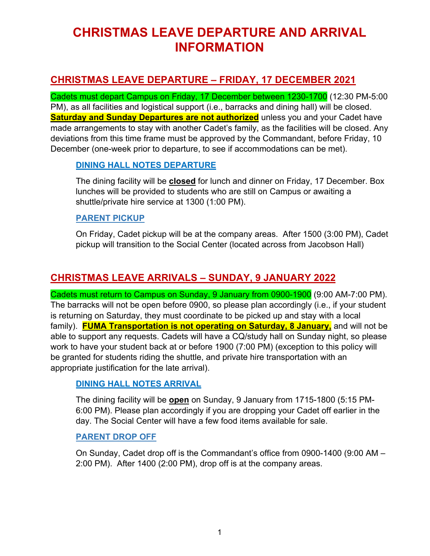# **CHRISTMAS LEAVE DEPARTURE AND ARRIVAL INFORMATION**

## **CHRISTMAS LEAVE DEPARTURE – FRIDAY, 17 DECEMBER 2021**

Cadets must depart Campus on Friday, 17 December between 1230-1700 (12:30 PM-5:00 PM), as all facilities and logistical support (i.e., barracks and dining hall) will be closed. **Saturday and Sunday Departures are not authorized** unless you and your Cadet have made arrangements to stay with another Cadet's family, as the facilities will be closed. Any deviations from this time frame must be approved by the Commandant, before Friday, 10 December (one-week prior to departure, to see if accommodations can be met).

#### **DINING HALL NOTES DEPARTURE**

The dining facility will be **closed** for lunch and dinner on Friday, 17 December. Box lunches will be provided to students who are still on Campus or awaiting a shuttle/private hire service at 1300 (1:00 PM).

#### **PARENT PICKUP**

On Friday, Cadet pickup will be at the company areas. After 1500 (3:00 PM), Cadet pickup will transition to the Social Center (located across from Jacobson Hall)

### **CHRISTMAS LEAVE ARRIVALS – SUNDAY, 9 JANUARY 2022**

Cadets must return to Campus on Sunday, 9 January from 0900-1900 (9:00 AM-7:00 PM). The barracks will not be open before 0900, so please plan accordingly (i.e., if your student is returning on Saturday, they must coordinate to be picked up and stay with a local family). **FUMA Transportation is not operating on Saturday, 8 January,** and will not be able to support any requests. Cadets will have a CQ/study hall on Sunday night, so please work to have your student back at or before 1900 (7:00 PM) (exception to this policy will be granted for students riding the shuttle, and private hire transportation with an appropriate justification for the late arrival).

### **DINING HALL NOTES ARRIVAL**

The dining facility will be **open** on Sunday, 9 January from 1715-1800 (5:15 PM-6:00 PM). Please plan accordingly if you are dropping your Cadet off earlier in the day. The Social Center will have a few food items available for sale.

#### **PARENT DROP OFF**

On Sunday, Cadet drop off is the Commandant's office from 0900-1400 (9:00 AM – 2:00 PM). After 1400 (2:00 PM), drop off is at the company areas.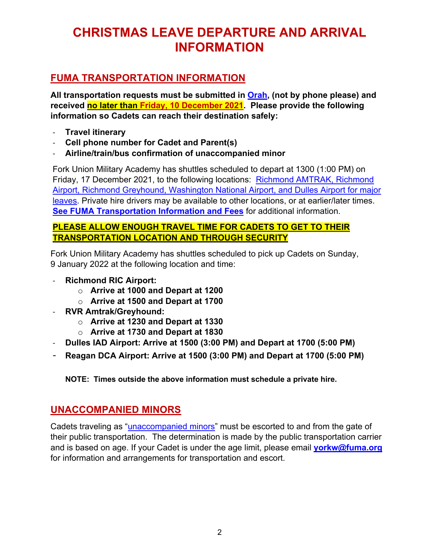# **CHRISTMAS LEAVE DEPARTURE AND ARRIVAL INFORMATION**

## **FUMA TRANSPORTATION INFORMATION**

**All transportation requests must be submitted in Orah, (not by phone please) and received no later than Friday, 10 December 2021. Please provide the following information so Cadets can reach their destination safely:**

- **Travel itinerary**
- **Cell phone number for Cadet and Parent(s)**
- **Airline/train/bus confirmation of unaccompanied minor**

Fork Union Military Academy has shuttles scheduled to depart at 1300 (1:00 PM) on Friday, 17 December 2021, to the following locations: Richmond AMTRAK, Richmond Airport, Richmond Greyhound, Washington National Airport, and Dulles Airport for major leaves. Private hire drivers may be available to other locations, or at earlier/later times. **See FUMA Transportation Information and Fees** for additional information.

### **PLEASE ALLOW ENOUGH TRAVEL TIME FOR CADETS TO GET TO THEIR TRANSPORTATION LOCATION AND THROUGH SECURITY**

Fork Union Military Academy has shuttles scheduled to pick up Cadets on Sunday, 9 January 2022 at the following location and time:

- **Richmond RIC Airport:** 
	- o **Arrive at 1000 and Depart at 1200**
	- o **Arrive at 1500 and Depart at 1700**
- **RVR Amtrak/Greyhound:** 
	- o **Arrive at 1230 and Depart at 1330**
	- o **Arrive at 1730 and Depart at 1830**
- **Dulles IAD Airport: Arrive at 1500 (3:00 PM) and Depart at 1700 (5:00 PM)**
- **Reagan DCA Airport: Arrive at 1500 (3:00 PM) and Depart at 1700 (5:00 PM)**

**NOTE: Times outside the above information must schedule a private hire.**

### **UNACCOMPANIED MINORS**

Cadets traveling as "unaccompanied minors" must be escorted to and from the gate of their public transportation. The determination is made by the public transportation carrier and is based on age. If your Cadet is under the age limit, please email **yorkw@fuma.org** for information and arrangements for transportation and escort.